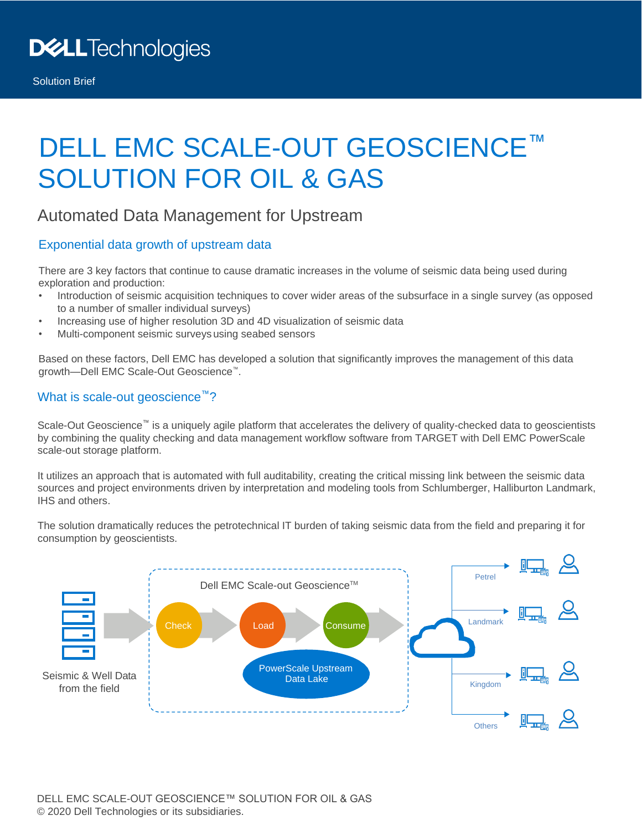# DELL EMC SCALE-OUT GEOSCIENCE™ SOLUTION FOR OIL & GAS

### Automated Data Management for Upstream

#### Exponential data growth of upstream data

There are 3 key factors that continue to cause dramatic increases in the volume of seismic data being used during exploration and production:

- Introduction of seismic acquisition techniques to cover wider areas of the subsurface in a single survey (as opposed to a number of smaller individual surveys)
- Increasing use of higher resolution 3D and 4D visualization of seismic data
- Multi-component seismic surveys using seabed sensors

Based on these factors, Dell EMC has developed a solution that significantly improves the management of this data growth—Dell EMC Scale-Out Geoscience™.

#### What is scale-out geoscience<sup>™</sup>?

Scale-Out Geoscience™ is a uniquely agile platform that accelerates the delivery of quality-checked data to geoscientists by combining the quality checking and data management workflow software from TARGET with Dell EMC PowerScale scale-out storage platform.

It utilizes an approach that is automated with full auditability, creating the critical missing link between the seismic data sources and project environments driven by interpretation and modeling tools from Schlumberger, Halliburton Landmark, IHS and others.

The solution dramatically reduces the petrotechnical IT burden of taking seismic data from the field and preparing it for consumption by geoscientists.

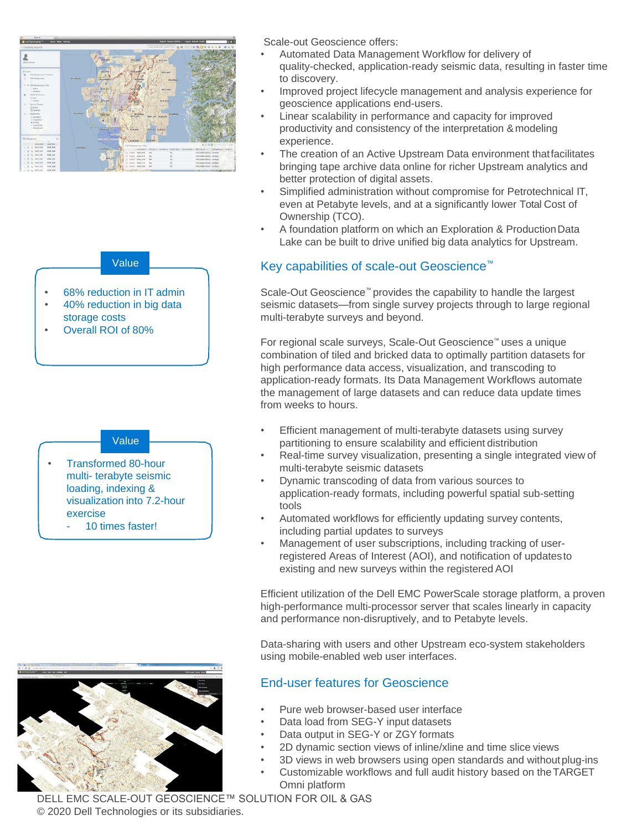

#### Value

- 68% reduction in IT admin
- 40% reduction in big data
- storage costs • Overall ROI of 80%

#### Value

- Transformed 80-hour multi- terabyte seismic loading, indexing & visualization into 7.2-hour exercise
	- 10 times faster!

– 10 times faster!



- Automated Data Management Workflow for delivery of quality-checked, application-ready seismic data, resulting in faster time to discovery.
- Improved project lifecycle management and analysis experience for geoscience applications end-users.
- Linear scalability in performance and capacity for improved productivity and consistency of the interpretation & modeling experience.
- The creation of an Active Upstream Data environment thatfacilitates bringing tape archive data online for richer Upstream analytics and better protection of digital assets.
- Simplified administration without compromise for Petrotechnical IT, even at Petabyte levels, and at a significantly lower Total Cost of Ownership (TCO).
- A foundation platform on which an Exploration & ProductionData Lake can be built to drive unified big data analytics for Upstream.

#### Key capabilities of scale-out Geoscience™

Scale-Out Geoscience<sup>™</sup> provides the capability to handle the largest seismic datasets—from single survey projects through to large regional multi-terabyte surveys and beyond.

For regional scale surveys, Scale-Out Geoscience™ uses a unique combination of tiled and bricked data to optimally partition datasets for high performance data access, visualization, and transcoding to application-ready formats. Its Data Management Workflows automate the management of large datasets and can reduce data update times from weeks to hours.

- Efficient management of multi-terabyte datasets using survey partitioning to ensure scalability and efficient distribution
- Real-time survey visualization, presenting a single integrated view of multi-terabyte seismic datasets
- Dynamic transcoding of data from various sources to application-ready formats, including powerful spatial sub-setting tools
- Automated workflows for efficiently updating survey contents, including partial updates to surveys
- Management of user subscriptions, including tracking of userregistered Areas of Interest (AOI), and notification of updatesto existing and new surveys within the registered AOI

Efficient utilization of the Dell EMC PowerScale storage platform, a proven high-performance multi-processor server that scales linearly in capacity and performance non-disruptively, and to Petabyte levels.

Data-sharing with users and other Upstream eco-system stakeholders using mobile-enabled web user interfaces.

#### End-user features for Geoscience

- Pure web browser-based user interface
- Data load from SEG-Y input datasets
- Data output in SEG-Y or ZGY formats
- 2D dynamic section views of inline/xline and time slice views
- 3D views in web browsers using open standards and withoutplug-ins
- Customizable workflows and full audit history based on theTARGET Omni platform

DELL EMC SCALE-OUT GEOSCIENCE™ SOLUTION FOR OIL & GAS © 2020 Dell Technologies or its subsidiaries.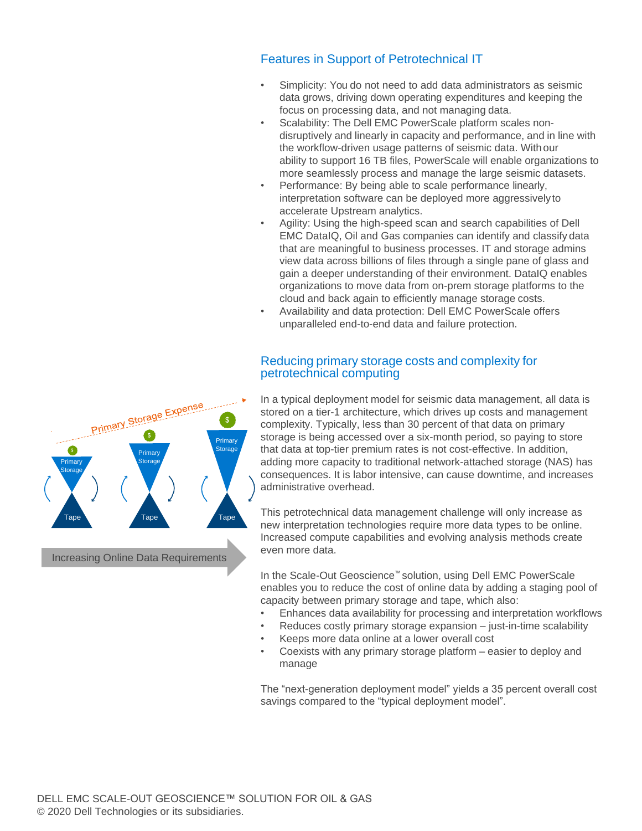#### Features in Support of Petrotechnical IT

- Simplicity: You do not need to add data administrators as seismic data grows, driving down operating expenditures and keeping the focus on processing data, and not managing data.
- Scalability: The Dell EMC PowerScale platform scales nondisruptively and linearly in capacity and performance, and in line with the workflow-driven usage patterns of seismic data. Withour ability to support 16 TB files, PowerScale will enable organizations to more seamlessly process and manage the large seismic datasets.
- Performance: By being able to scale performance linearly, interpretation software can be deployed more aggressivelyto accelerate Upstream analytics.
- Agility: Using the high-speed scan and search capabilities of Dell EMC DataIQ, Oil and Gas companies can identify and classify data that are meaningful to business processes. IT and storage admins view data across billions of files through a single pane of glass and gain a deeper understanding of their environment. DataIQ enables organizations to move data from on-prem storage platforms to the cloud and back again to efficiently manage storage costs.
- Availability and data protection: Dell EMC PowerScale offers unparalleled end-to-end data and failure protection.

#### Reducing primary storage costs and complexity for petrotechnical computing

In a typical deployment model for seismic data management, all data is stored on a tier-1 architecture, which drives up costs and management complexity. Typically, less than 30 percent of that data on primary storage is being accessed over a six-month period, so paying to store that data at top-tier premium rates is not cost-effective. In addition, adding more capacity to traditional network-attached storage (NAS) has consequences. It is labor intensive, can cause downtime, and increases administrative overhead.

This petrotechnical data management challenge will only increase as new interpretation technologies require more data types to be online. Increased compute capabilities and evolving analysis methods create even more data.

In the Scale-Out Geoscience™ solution, using Dell EMC PowerScale enables you to reduce the cost of online data by adding a staging pool of capacity between primary storage and tape, which also:

- Enhances data availability for processing and interpretation workflows
- Reduces costly primary storage expansion just-in-time scalability
- Keeps more data online at a lower overall cost
- Coexists with any primary storage platform easier to deploy and manage

The "next-generation deployment model" yields a 35 percent overall cost savings compared to the "typical deployment model".



Increasing Online Data Requirements